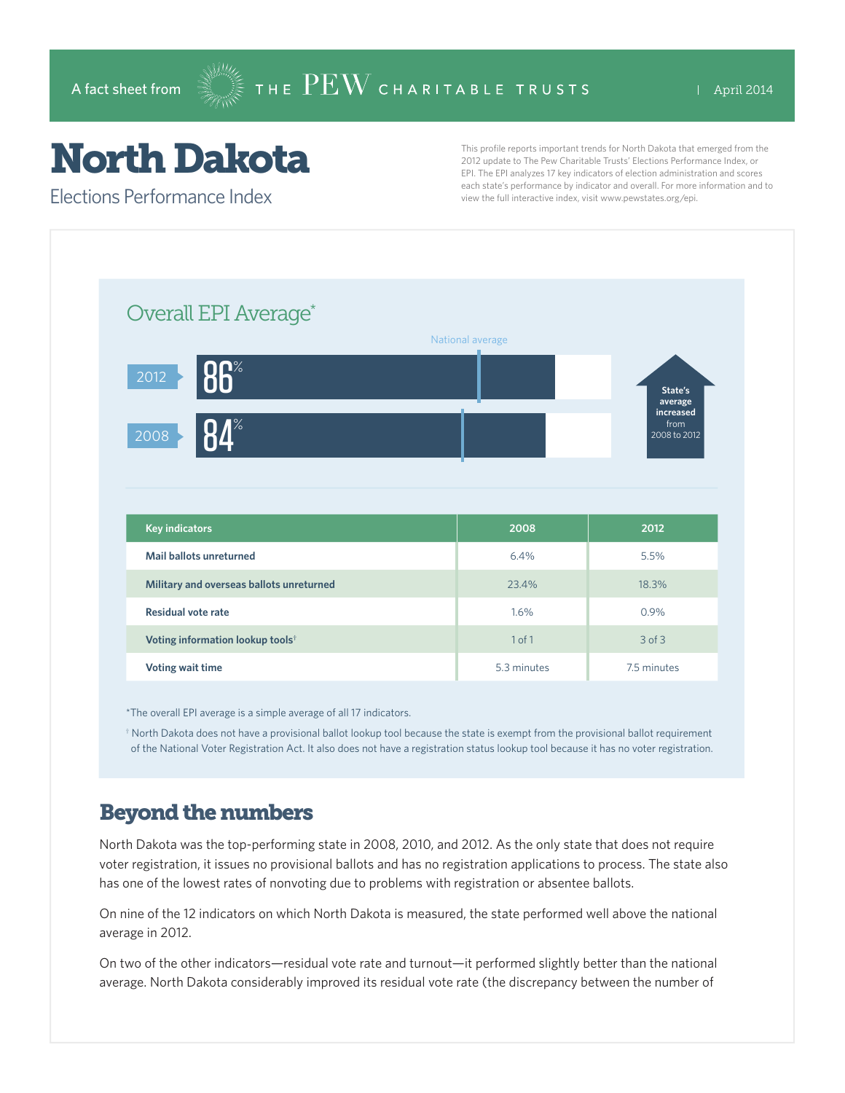## North Dakota

Elections Performance Index

This profile reports important trends for North Dakota that emerged from the 2012 update to The Pew Charitable Trusts' Elections Performance Index, or EPI. The EPI analyzes 17 key indicators of election administration and scores each state's performance by indicator and overall. For more information and to view the full interactive index, visit www.pewstates.org/epi.

| Overall EPI Average*                         |                  |                      |
|----------------------------------------------|------------------|----------------------|
|                                              | National average |                      |
| <b>RR</b> %<br>$\boxed{2012}$                |                  | State's              |
|                                              |                  | average<br>increased |
| $\mathbf{I}^{\%}$<br>2008                    |                  | from<br>2008 to 2012 |
|                                              |                  |                      |
|                                              |                  |                      |
|                                              |                  |                      |
|                                              |                  |                      |
| <b>Key indicators</b>                        | 2008             | 2012                 |
| Mail ballots unreturned                      | 6.4%             | 5.5%                 |
| Military and overseas ballots unreturned     | 23.4%            | 18.3%                |
| <b>Residual vote rate</b>                    | 1.6%             | 0.9%                 |
| Voting information lookup tools <sup>†</sup> | 1 of 1           | $3$ of $3$           |

\*The overall EPI average is a simple average of all 17 indicators.

† North Dakota does not have a provisional ballot lookup tool because the state is exempt from the provisional ballot requirement of the National Voter Registration Act. It also does not have a registration status lookup tool because it has no voter registration.

## Beyond the numbers

North Dakota was the top-performing state in 2008, 2010, and 2012. As the only state that does not require voter registration, it issues no provisional ballots and has no registration applications to process. The state also has one of the lowest rates of nonvoting due to problems with registration or absentee ballots.

On nine of the 12 indicators on which North Dakota is measured, the state performed well above the national average in 2012.

On two of the other indicators—residual vote rate and turnout—it performed slightly better than the national average. North Dakota considerably improved its residual vote rate (the discrepancy between the number of